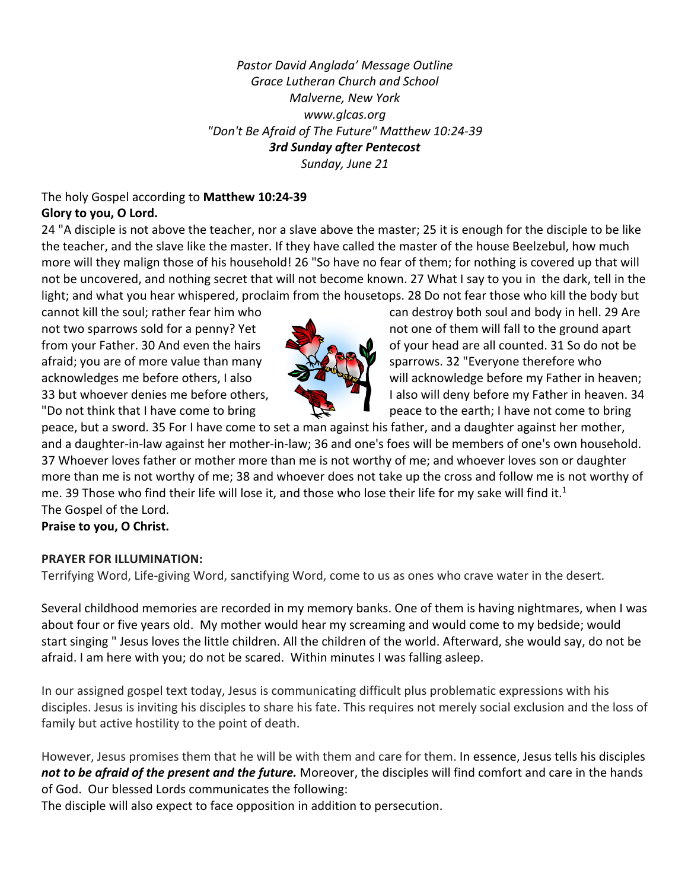*Pastor David Anglada' Message Outline Grace Lutheran Church and School Malverne, New York www.glcas.org "Don't Be Afraid of The Future" Matthew 10:24-39 3rd Sunday after Pentecost Sunday, June 21* 

#### The holy Gospel according to **Matthew 10:24-39 Glory to you, O Lord.**

24 "A disciple is not above the teacher, nor a slave above the master; 25 it is enough for the disciple to be like the teacher, and the slave like the master. If they have called the master of the house Beelzebul, how much more will they malign those of his household! 26 "So have no fear of them; for nothing is covered up that will not be uncovered, and nothing secret that will not become known. 27 What I say to you in the dark, tell in the light; and what you hear whispered, proclaim from the housetops. 28 Do not fear those who kill the body but

afraid; you are of more value than many  $\mathbb{R}$   $\mathbb{R}$  sparrows. 32 "Everyone therefore who



cannot kill the soul; rather fear him who can destroy both soul and body in hell. 29 Are not two sparrows sold for a penny? Yet not one of them will fall to the ground apart from your Father. 30 And even the hairs of your head are all counted. 31 So do not be acknowledges me before others, I also **will acknowledge before my Father in heaven;** 33 but whoever denies me before others,  $\Box$  I also will deny before my Father in heaven. 34 "Do not think that I have come to bring  $\Box$  peace to the earth; I have not come to bring

peace, but a sword. 35 For I have come to set a man against his father, and a daughter against her mother, and a daughter-in-law against her mother-in-law; 36 and one's foes will be members of one's own household. 37 Whoever loves father or mother more than me is not worthy of me; and whoever loves son or daughter more than me is not worthy of me; 38 and whoever does not take up the cross and follow me is not worthy of me. 39 Those who find their life will lose it, and those who lose their life for my sake will find it.<sup>1</sup> The Gospel of the Lord.

**Praise to you, O Christ.**

# **PRAYER FOR ILLUMINATION:**

Terrifying Word, Life-giving Word, sanctifying Word, come to us as ones who crave water in the desert.

Several childhood memories are recorded in my memory banks. One of them is having nightmares, when I was about four or five years old. My mother would hear my screaming and would come to my bedside; would start singing " Jesus loves the little children. All the children of the world. Afterward, she would say, do not be afraid. I am here with you; do not be scared. Within minutes I was falling asleep.

In our assigned gospel text today, Jesus is communicating difficult plus problematic expressions with his disciples. Jesus is inviting his disciples to share his fate. This requires not merely social exclusion and the loss of family but active hostility to the point of death.

However, Jesus promises them that he will be with them and care for them. In essence, Jesus tells his disciples *not to be afraid of the present and the future.* Moreover, the disciples will find comfort and care in the hands of God. Our blessed Lords communicates the following:

The disciple will also expect to face opposition in addition to persecution.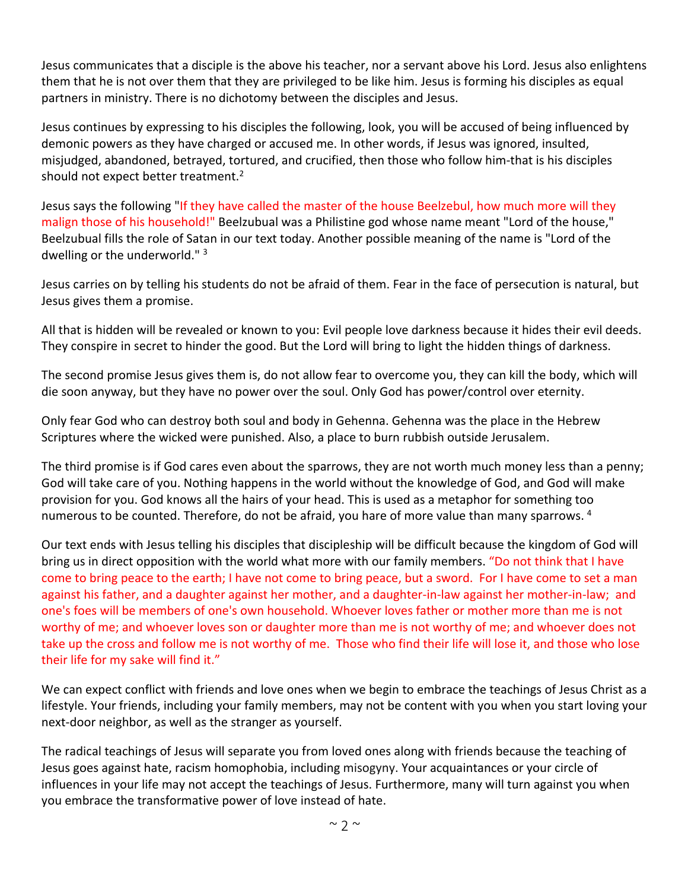Jesus communicates that a disciple is the above his teacher, nor a servant above his Lord. Jesus also enlightens them that he is not over them that they are privileged to be like him. Jesus is forming his disciples as equal partners in ministry. There is no dichotomy between the disciples and Jesus.

Jesus continues by expressing to his disciples the following, look, you will be accused of being influenced by demonic powers as they have charged or accused me. In other words, if Jesus was ignored, insulted, misjudged, abandoned, betrayed, tortured, and crucified, then those who follow him-that is his disciples should not expect better treatment.<sup>2</sup>

Jesus says the following "If they have called the master of the house Beelzebul, how much more will they malign those of his household!" Beelzubual was a Philistine god whose name meant "Lord of the house," Beelzubual fills the role of Satan in our text today. Another possible meaning of the name is "Lord of the dwelling or the underworld." 3

Jesus carries on by telling his students do not be afraid of them. Fear in the face of persecution is natural, but Jesus gives them a promise.

All that is hidden will be revealed or known to you: Evil people love darkness because it hides their evil deeds. They conspire in secret to hinder the good. But the Lord will bring to light the hidden things of darkness.

The second promise Jesus gives them is, do not allow fear to overcome you, they can kill the body, which will die soon anyway, but they have no power over the soul. Only God has power/control over eternity.

Only fear God who can destroy both soul and body in Gehenna. Gehenna was the place in the Hebrew Scriptures where the wicked were punished. Also, a place to burn rubbish outside Jerusalem.

The third promise is if God cares even about the sparrows, they are not worth much money less than a penny; God will take care of you. Nothing happens in the world without the knowledge of God, and God will make provision for you. God knows all the hairs of your head. This is used as a metaphor for something too numerous to be counted. Therefore, do not be afraid, you hare of more value than many sparrows. 4

Our text ends with Jesus telling his disciples that discipleship will be difficult because the kingdom of God will bring us in direct opposition with the world what more with our family members. "Do not think that I have come to bring peace to the earth; I have not come to bring peace, but a sword. For I have come to set a man against his father, and a daughter against her mother, and a daughter-in-law against her mother-in-law; and one's foes will be members of one's own household. Whoever loves father or mother more than me is not worthy of me; and whoever loves son or daughter more than me is not worthy of me; and whoever does not take up the cross and follow me is not worthy of me. Those who find their life will lose it, and those who lose their life for my sake will find it."

We can expect conflict with friends and love ones when we begin to embrace the teachings of Jesus Christ as a lifestyle. Your friends, including your family members, may not be content with you when you start loving your next-door neighbor, as well as the stranger as yourself.

The radical teachings of Jesus will separate you from loved ones along with friends because the teaching of Jesus goes against hate, racism homophobia, including misogyny. Your acquaintances or your circle of influences in your life may not accept the teachings of Jesus. Furthermore, many will turn against you when you embrace the transformative power of love instead of hate.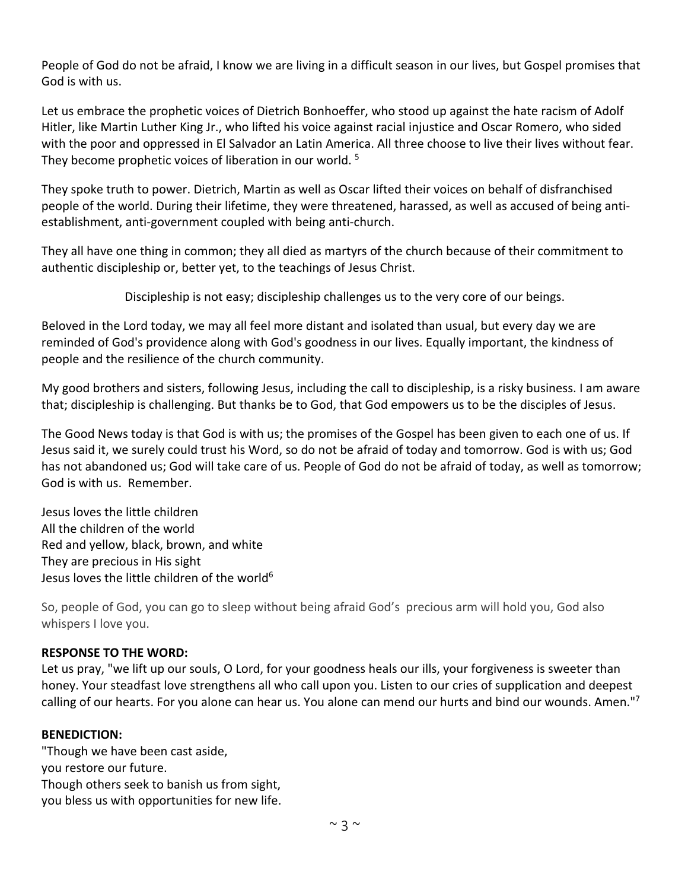People of God do not be afraid, I know we are living in a difficult season in our lives, but Gospel promises that God is with us.

Let us embrace the prophetic voices of Dietrich Bonhoeffer, who stood up against the hate racism of Adolf Hitler, like Martin Luther King Jr., who lifted his voice against racial injustice and Oscar Romero, who sided with the poor and oppressed in El Salvador an Latin America. All three choose to live their lives without fear. They become prophetic voices of liberation in our world.<sup>5</sup>

They spoke truth to power. Dietrich, Martin as well as Oscar lifted their voices on behalf of disfranchised people of the world. During their lifetime, they were threatened, harassed, as well as accused of being antiestablishment, anti-government coupled with being anti-church.

They all have one thing in common; they all died as martyrs of the church because of their commitment to authentic discipleship or, better yet, to the teachings of Jesus Christ.

Discipleship is not easy; discipleship challenges us to the very core of our beings.

Beloved in the Lord today, we may all feel more distant and isolated than usual, but every day we are reminded of God's providence along with God's goodness in our lives. Equally important, the kindness of people and the resilience of the church community.

My good brothers and sisters, following Jesus, including the call to discipleship, is a risky business. I am aware that; discipleship is challenging. But thanks be to God, that God empowers us to be the disciples of Jesus.

The Good News today is that God is with us; the promises of the Gospel has been given to each one of us. If Jesus said it, we surely could trust his Word, so do not be afraid of today and tomorrow. God is with us; God has not abandoned us; God will take care of us. People of God do not be afraid of today, as well as tomorrow; God is with us. Remember.

Jesus loves the little children All the children of the world Red and yellow, black, brown, and white They are precious in His sight Jesus loves the little children of the world<sup>6</sup>

So, people of God, you can go to sleep without being afraid God's precious arm will hold you, God also whispers I love you.

# **RESPONSE TO THE WORD:**

Let us pray, "we lift up our souls, O Lord, for your goodness heals our ills, your forgiveness is sweeter than honey. Your steadfast love strengthens all who call upon you. Listen to our cries of supplication and deepest calling of our hearts. For you alone can hear us. You alone can mend our hurts and bind our wounds. Amen."7

# **BENEDICTION:**

"Though we have been cast aside, you restore our future. Though others seek to banish us from sight, you bless us with opportunities for new life.